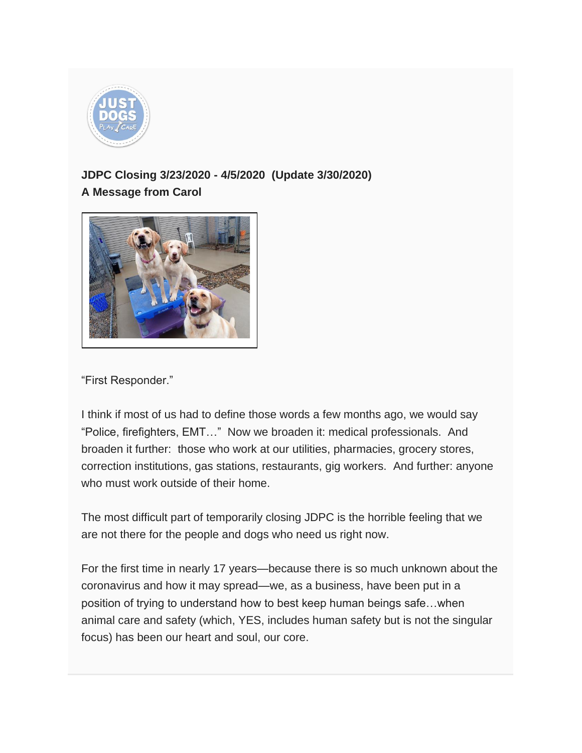

## **JDPC Closing 3/23/2020 - 4/5/2020 (Update 3/30/2020) A Message from Carol**



"First Responder."

I think if most of us had to define those words a few months ago, we would say "Police, firefighters, EMT…" Now we broaden it: medical professionals. And broaden it further: those who work at our utilities, pharmacies, grocery stores, correction institutions, gas stations, restaurants, gig workers. And further: anyone who must work outside of their home.

The most difficult part of temporarily closing JDPC is the horrible feeling that we are not there for the people and dogs who need us right now.

For the first time in nearly 17 years—because there is so much unknown about the coronavirus and how it may spread—we, as a business, have been put in a position of trying to understand how to best keep human beings safe…when animal care and safety (which, YES, includes human safety but is not the singular focus) has been our heart and soul, our core.